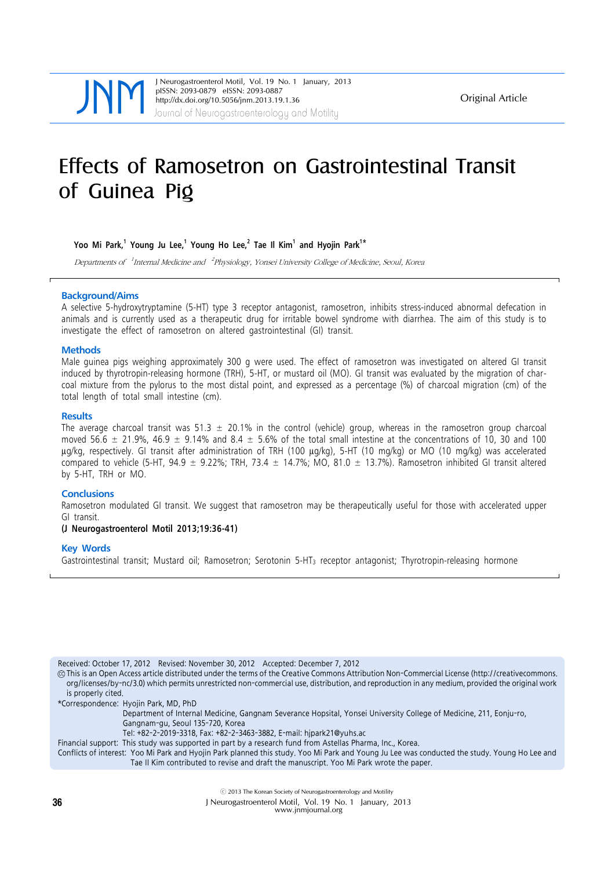Journal of Neurogastroenterology and Motility J Neurogastroenterol Motil, Vol. 19 No. 1 January, 2013 pISSN: 2093-0879 eISSN: 2093-0887 http://dx.doi.org/10.5056/jnm.2013.19.1.36

Original Article

# Effects of Ramosetron on Gastrointestinal Transit of Guinea Pig

**Yoo Mi Park,<sup>1</sup> Young Ju Lee,1 Young Ho Lee,<sup>2</sup> Tae Il Kim<sup>1</sup> and Hyojin Park1\***

Departments of <sup>1</sup>Internal Medicine and <sup>2</sup>Physiology, Yonsei University College of Medicine, Seoul, Korea

### **Background/Aims**

A selective 5-hydroxytryptamine (5-HT) type 3 receptor antagonist, ramosetron, inhibits stress-induced abnormal defecation in animals and is currently used as a therapeutic drug for irritable bowel syndrome with diarrhea. The aim of this study is to investigate the effect of ramosetron on altered gastrointestinal (GI) transit.

### **Methods**

Male guinea pigs weighing approximately 300 g were used. The effect of ramosetron was investigated on altered GI transit induced by thyrotropin-releasing hormone (TRH), 5-HT, or mustard oil (MO). GI transit was evaluated by the migration of charcoal mixture from the pylorus to the most distal point, and expressed as a percentage (%) of charcoal migration (cm) of the total length of total small intestine (cm).

#### **Results**

The average charcoal transit was 51.3  $\pm$  20.1% in the control (vehicle) group, whereas in the ramosetron group charcoal moved 56.6  $\pm$  21.9%, 46.9  $\pm$  9.14% and 8.4  $\pm$  5.6% of the total small intestine at the concentrations of 10, 30 and 100 μg/kg, respectively. GI transit after administration of TRH (100 μg/kg), 5-HT (10 mg/kg) or MO (10 mg/kg) was accelerated compared to vehicle (5-HT, 94.9  $\pm$  9.22%; TRH, 73.4  $\pm$  14.7%; MO, 81.0  $\pm$  13.7%). Ramosetron inhibited GI transit altered by 5-HT, TRH or MO.

### **Conclusions**

Ramosetron modulated GI transit. We suggest that ramosetron may be therapeutically useful for those with accelerated upper GI transit.

### **(J Neurogastroenterol Motil 2013;19:36-41)**

### **Key Words**

Gastrointestinal transit; Mustard oil; Ramosetron; Serotonin 5-HT3 receptor antagonist; Thyrotropin-releasing hormone

Received: October 17, 2012 Revised: November 30, 2012 Accepted: December 7, 2012

CC This is an Open Access article distributed under the terms of the Creative Commons Attribution Non-Commercial License (http://creativecommons. org/licenses/by-nc/3.0) which permits unrestricted non-commercial use, distribution, and reproduction in any medium, provided the original work is properly cited.

\*Correspondence: Hyojin Park, MD, PhD

Department of Internal Medicine, Gangnam Severance Hopsital, Yonsei University College of Medicine, 211, Eonju-ro,

- Gangnam-gu, Seoul 135-720, Korea
- Tel: +82-2-2019-3318, Fax: +82-2-3463-3882, E-mail: hjpark21@yuhs.ac

Financial support: This study was supported in part by a research fund from Astellas Pharma, Inc., Korea.

Conflicts of interest: Yoo Mi Park and Hyojin Park planned this study. Yoo Mi Park and Young Ju Lee was conducted the study. Young Ho Lee and Tae Il Kim contributed to revise and draft the manuscript. Yoo Mi Park wrote the paper.

ⓒ 2013 The Korean Society of Neurogastroenterology and Motility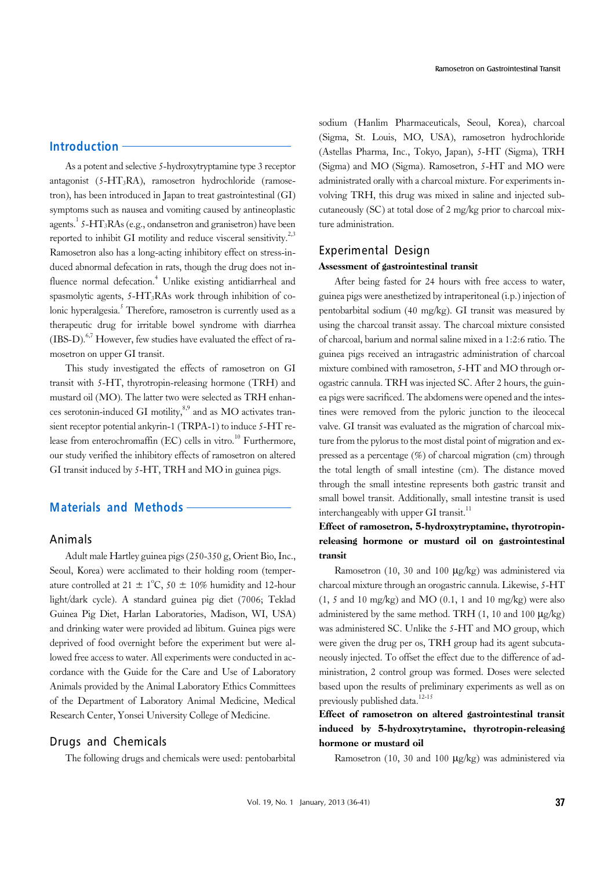As a potent and selective 5-hydroxytryptamine type 3 receptor antagonist (5-HT3RA), ramosetron hydrochloride (ramosetron), has been introduced in Japan to treat gastrointestinal (GI) symptoms such as nausea and vomiting caused by antineoplastic agents.<sup>1</sup> 5-HT<sub>3</sub>RAs (e.g., ondansetron and granisetron) have been reported to inhibit GI motility and reduce visceral sensitivity.<sup>2,3</sup> Ramosetron also has a long-acting inhibitory effect on stress-induced abnormal defecation in rats, though the drug does not influence normal defecation.<sup>4</sup> Unlike existing antidiarrheal and spasmolytic agents,  $5-\text{HT}_3\text{RAs}$  work through inhibition of colonic hyperalgesia.<sup>5</sup> Therefore, ramosetron is currently used as a therapeutic drug for irritable bowel syndrome with diarrhea  $(IBS-D)$ .<sup>6,7</sup> However, few studies have evaluated the effect of ramosetron on upper GI transit.

This study investigated the effects of ramosetron on GI transit with 5-HT, thyrotropin-releasing hormone (TRH) and mustard oil (MO). The latter two were selected as TRH enhances serotonin-induced GI motility, $8,9$  and as MO activates transient receptor potential ankyrin-1 (TRPA-1) to induce 5-HT release from enterochromaffin (EC) cells in vitro.<sup>10</sup> Furthermore, our study verified the inhibitory effects of ramosetron on altered GI transit induced by 5-HT, TRH and MO in guinea pigs.

# **Materials and Methods**

# Animals

Adult male Hartley guinea pigs (250-350 g, Orient Bio, Inc., Seoul, Korea) were acclimated to their holding room (temperature controlled at  $21 \pm 1^{\circ}C$ ,  $50 \pm 10\%$  humidity and 12-hour light/dark cycle). A standard guinea pig diet (7006; Teklad Guinea Pig Diet, Harlan Laboratories, Madison, WI, USA) and drinking water were provided ad libitum. Guinea pigs were deprived of food overnight before the experiment but were allowed free access to water. All experiments were conducted in accordance with the Guide for the Care and Use of Laboratory Animals provided by the Animal Laboratory Ethics Committees of the Department of Laboratory Animal Medicine, Medical Research Center, Yonsei University College of Medicine.

# Drugs and Chemicals

The following drugs and chemicals were used: pentobarbital

sodium (Hanlim Pharmaceuticals, Seoul, Korea), charcoal (Sigma, St. Louis, MO, USA), ramosetron hydrochloride (Astellas Pharma, Inc., Tokyo, Japan), 5-HT (Sigma), TRH (Sigma) and MO (Sigma). Ramosetron, 5-HT and MO were administrated orally with a charcoal mixture. For experiments involving TRH, this drug was mixed in saline and injected subcutaneously (SC) at total dose of 2 mg/kg prior to charcoal mixture administration.

#### Experimental Design

#### Assessment of gastrointestinal transit

After being fasted for 24 hours with free access to water, guinea pigs were anesthetized by intraperitoneal (i.p.) injection of pentobarbital sodium (40 mg/kg). GI transit was measured by using the charcoal transit assay. The charcoal mixture consisted of charcoal, barium and normal saline mixed in a 1:2:6 ratio. The guinea pigs received an intragastric administration of charcoal mixture combined with ramosetron, 5-HT and MO through orogastric cannula. TRH was injected SC. After 2 hours, the guinea pigs were sacrificed. The abdomens were opened and the intestines were removed from the pyloric junction to the ileocecal valve. GI transit was evaluated as the migration of charcoal mixture from the pylorus to the most distal point of migration and expressed as a percentage (%) of charcoal migration (cm) through the total length of small intestine (cm). The distance moved through the small intestine represents both gastric transit and small bowel transit. Additionally, small intestine transit is used interchangeably with upper GI transit.<sup>11</sup>

# Effect of ramosetron, 5-hydroxytryptamine, thyrotropinreleasing hormone or mustard oil on gastrointestinal transit

Ramosetron (10, 30 and 100 μg/kg) was administered via charcoal mixture through an orogastric cannula. Likewise, 5-HT  $(1, 5 \text{ and } 10 \text{ mg/kg})$  and MO  $(0.1, 1 \text{ and } 10 \text{ mg/kg})$  were also administered by the same method. TRH  $(1, 10 \text{ and } 100 \text{ µg/kg})$ was administered SC. Unlike the 5-HT and MO group, which were given the drug per os, TRH group had its agent subcutaneously injected. To offset the effect due to the difference of administration, 2 control group was formed. Doses were selected based upon the results of preliminary experiments as well as on previously published data.<sup>12-15</sup>

# Effect of ramosetron on altered gastrointestinal transit induced by 5-hydroxytrytamine, thyrotropin-releasing hormone or mustard oil

Ramosetron (10, 30 and 100 μg/kg) was administered via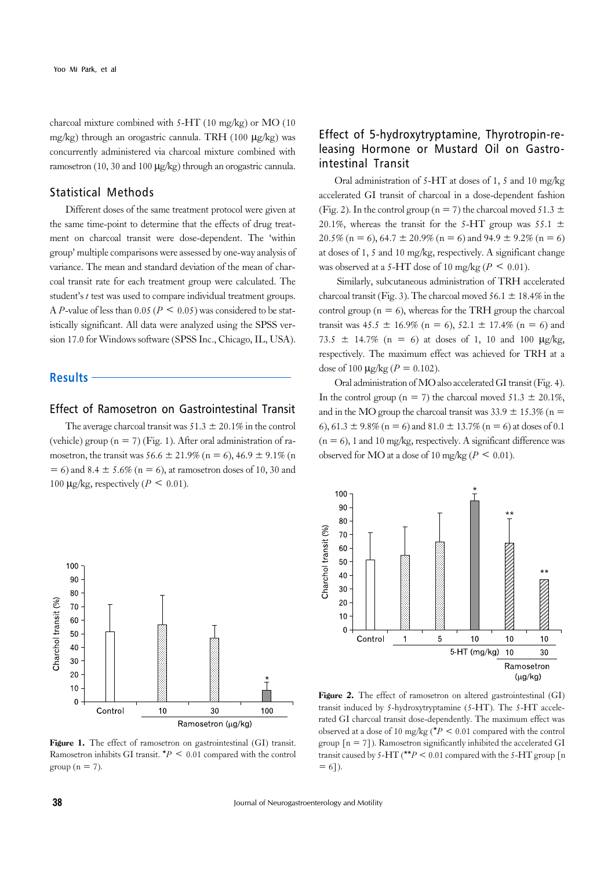charcoal mixture combined with 5-HT (10 mg/kg) or MO (10 mg/kg) through an orogastric cannula. TRH (100 μg/kg) was concurrently administered via charcoal mixture combined with ramosetron (10, 30 and 100 μg/kg) through an orogastric cannula.

# Statistical Methods

Different doses of the same treatment protocol were given at the same time-point to determine that the effects of drug treatment on charcoal transit were dose-dependent. The 'within group' multiple comparisons were assessed by one-way analysis of variance. The mean and standard deviation of the mean of charcoal transit rate for each treatment group were calculated. The student's *t* test was used to compare individual treatment groups. A *P*-value of less than 0.05 ( $P \le 0.05$ ) was considered to be statistically significant. All data were analyzed using the SPSS version 17.0 for Windows software (SPSS Inc., Chicago, IL, USA).

**Results**

# Effect of Ramosetron on Gastrointestinal Transit

The average charcoal transit was  $51.3 \pm 20.1\%$  in the control (vehicle) group ( $n = 7$ ) (Fig. 1). After oral administration of ramosetron, the transit was  $56.6 \pm 21.9\%$  (n = 6),  $46.9 \pm 9.1\%$  (n  $= 6$ ) and 8.4  $\pm$  5.6% (n  $= 6$ ), at ramosetron doses of 10, 30 and 100  $\mu$ g/kg, respectively ( $P \leq 0.01$ ).

# Effect of 5-hydroxytryptamine, Thyrotropin-releasing Hormone or Mustard Oil on Gastrointestinal Transit

Oral administration of 5-HT at doses of 1, 5 and 10 mg/kg accelerated GI transit of charcoal in a dose-dependent fashion (Fig. 2). In the control group (n = 7) the charcoal moved 51.3  $\pm$ 20.1%, whereas the transit for the 5-HT group was 55.1  $\pm$ 20.5% (n = 6), 64.7  $\pm$  20.9% (n = 6) and 94.9  $\pm$  9.2% (n = 6) at doses of 1, 5 and 10 mg/kg, respectively. A significant change was observed at a 5-HT dose of 10 mg/kg ( $P \le 0.01$ ).

 Similarly, subcutaneous administration of TRH accelerated charcoal transit (Fig. 3). The charcoal moved  $56.1 \pm 18.4\%$  in the control group ( $n = 6$ ), whereas for the TRH group the charcoal transit was  $45.5 \pm 16.9\%$  (n = 6),  $52.1 \pm 17.4\%$  (n = 6) and 73.5  $\pm$  14.7% (n = 6) at doses of 1, 10 and 100  $\mu$ g/kg, respectively. The maximum effect was achieved for TRH at a dose of 100  $\mu$ g/kg ( $P = 0.102$ ).

Oral administration of MO also accelerated GI transit (Fig. 4). In the control group ( $n = 7$ ) the charcoal moved  $51.3 \pm 20.1\%$ , and in the MO group the charcoal transit was  $33.9 \pm 15.3\%$  (n = 6),  $61.3 \pm 9.8\%$  (n = 6) and  $81.0 \pm 13.7\%$  (n = 6) at doses of 0.1  $(n = 6)$ , 1 and 10 mg/kg, respectively. A significant difference was observed for MO at a dose of 10 mg/kg ( $P \le 0.01$ ).



Figure 1. The effect of ramosetron on gastrointestinal (GI) transit. Ramosetron inhibits GI transit.  $*P < 0.01$  compared with the control group ( $n = 7$ ).



Figure 2. The effect of ramosetron on altered gastrointestinal (GI) transit induced by 5-hydroxytryptamine (5-HT). The 5-HT accelerated GI charcoal transit dose-dependently. The maximum effect was observed at a dose of 10 mg/kg ( $*P < 0.01$  compared with the control group  $[n = 7]$ ). Ramosetron significantly inhibited the accelerated GI transit caused by 5-HT (\*\* $P$  < 0.01 compared with the 5-HT group [n  $= 6$ ]).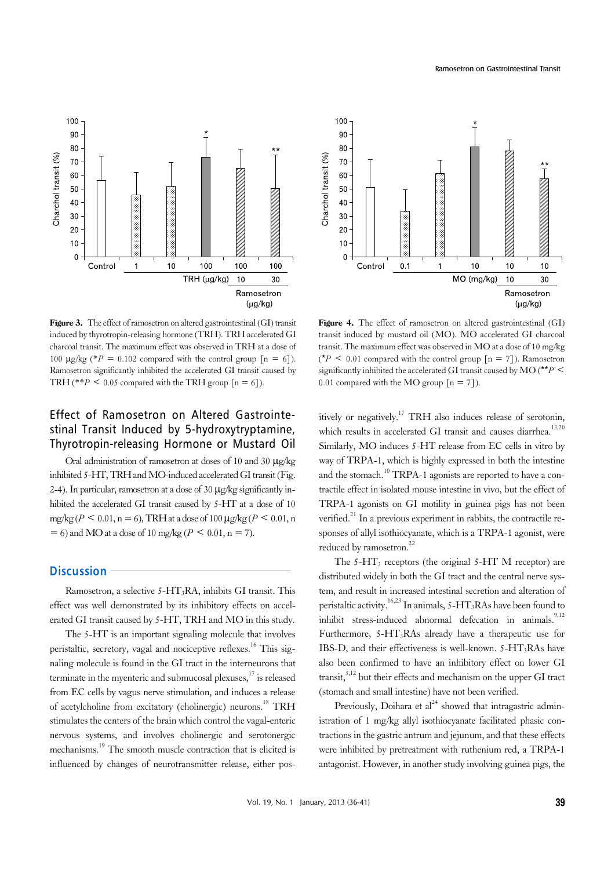

Figure 3. The effect of ramosetron on altered gastrointestinal (GI) transit induced by thyrotropin-releasing hormone (TRH). TRH accelerated GI charcoal transit. The maximum effect was observed in TRH at a dose of 100  $\mu$ g/kg (\**P* = 0.102 compared with the control group  $[n = 6]$ ). Ramosetron significantly inhibited the accelerated GI transit caused by TRH (\*\**P* < 0.05 compared with the TRH group  $[n = 6]$ ).

# Effect of Ramosetron on Altered Gastrointestinal Transit Induced by 5-hydroxytryptamine, Thyrotropin-releasing Hormone or Mustard Oil

Oral administration of ramosetron at doses of 10 and 30 μg/kg inhibited 5-HT, TRH and MO-induced accelerated GI transit (Fig. 2-4). In particular, ramosetron at a dose of 30  $\mu$ g/kg significantly inhibited the accelerated GI transit caused by 5-HT at a dose of 10 mg/kg ( $P \le 0.01$ , n = 6), TRH at a dose of 100  $\mu$ g/kg ( $P \le 0.01$ , n  $= 6$ ) and MO at a dose of 10 mg/kg ( $P \le 0.01$ , n = 7).

# **Discussion**

Ramosetron, a selective  $5-HT_3RA$ , inhibits GI transit. This effect was well demonstrated by its inhibitory effects on accelerated GI transit caused by 5-HT, TRH and MO in this study.

The 5-HT is an important signaling molecule that involves peristaltic, secretory, vagal and nociceptive reflexes.<sup>16</sup> This signaling molecule is found in the GI tract in the interneurons that terminate in the myenteric and submucosal plexuses, $17$  is released from EC cells by vagus nerve stimulation, and induces a release of acetylcholine from excitatory (cholinergic) neurons.<sup>18</sup> TRH stimulates the centers of the brain which control the vagal-enteric nervous systems, and involves cholinergic and serotonergic mechanisms.19 The smooth muscle contraction that is elicited is influenced by changes of neurotransmitter release, either pos-



Figure 4. The effect of ramosetron on altered gastrointestinal (GI) transit induced by mustard oil (MO). MO accelerated GI charcoal transit. The maximum effect was observed in MO at a dose of 10 mg/kg  $({}^{\star}P$  < 0.01 compared with the control group  $[n = 7]$ ). Ramosetron significantly inhibited the accelerated GI transit caused by MO ( $*^*P$  < 0.01 compared with the MO group  $[n = 7]$ ).

itively or negatively.<sup>17</sup> TRH also induces release of serotonin, which results in accelerated GI transit and causes diarrhea.<sup>13,20</sup> Similarly, MO induces 5-HT release from EC cells in vitro by way of TRPA-1, which is highly expressed in both the intestine and the stomach.<sup>10</sup> TRPA-1 agonists are reported to have a contractile effect in isolated mouse intestine in vivo, but the effect of TRPA-1 agonists on GI motility in guinea pigs has not been verified.<sup>21</sup> In a previous experiment in rabbits, the contractile responses of allyl isothiocyanate, which is a TRPA-1 agonist, were reduced by ramosetron.<sup>22</sup>

The  $5-\text{HT}_3$  receptors (the original  $5-\text{HT}$  M receptor) are distributed widely in both the GI tract and the central nerve system, and result in increased intestinal secretion and alteration of peristaltic activity.<sup>16,23</sup> In animals,  $5-HT_3RAs$  have been found to inhibit stress-induced abnormal defecation in animals.<sup>9,12</sup> Furthermore, 5-HT3RAs already have a therapeutic use for IBS-D, and their effectiveness is well-known.  $5-HT_3RAs$  have also been confirmed to have an inhibitory effect on lower GI transit, $5,12$  but their effects and mechanism on the upper GI tract (stomach and small intestine) have not been verified.

Previously, Doihara et  $al^{24}$  showed that intragastric administration of 1 mg/kg allyl isothiocyanate facilitated phasic contractions in the gastric antrum and jejunum, and that these effects were inhibited by pretreatment with ruthenium red, a TRPA-1 antagonist. However, in another study involving guinea pigs, the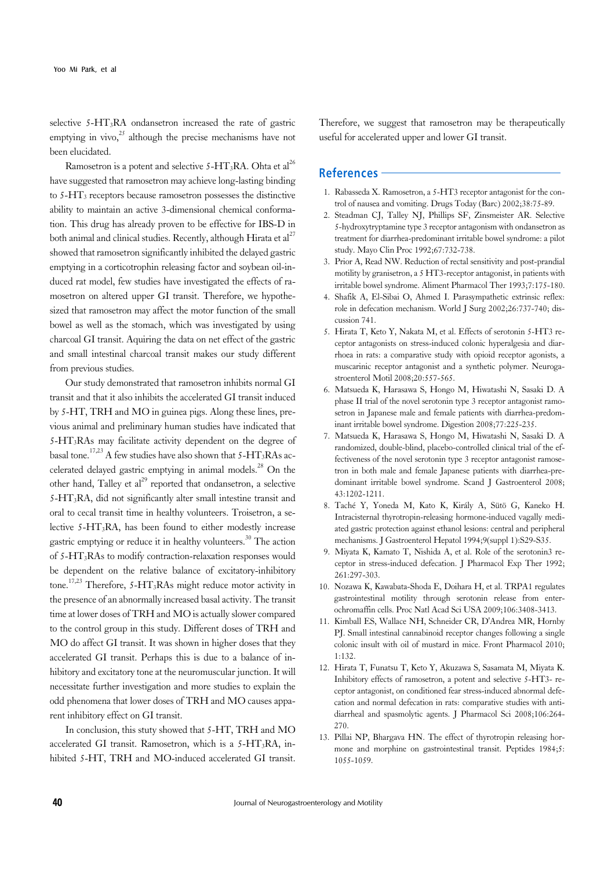selective 5-HT3RA ondansetron increased the rate of gastric emptying in vivo, $^{25}$  although the precise mechanisms have not been elucidated.

Ramosetron is a potent and selective  $5-HT_3RA$ . Ohta et al<sup>26</sup> have suggested that ramosetron may achieve long-lasting binding to 5-HT3 receptors because ramosetron possesses the distinctive ability to maintain an active 3-dimensional chemical conformation. This drug has already proven to be effective for IBS-D in both animal and clinical studies. Recently, although Hirata et al<sup>27</sup> showed that ramosetron significantly inhibited the delayed gastric emptying in a corticotrophin releasing factor and soybean oil-induced rat model, few studies have investigated the effects of ramosetron on altered upper GI transit. Therefore, we hypothesized that ramosetron may affect the motor function of the small bowel as well as the stomach, which was investigated by using charcoal GI transit. Aquiring the data on net effect of the gastric and small intestinal charcoal transit makes our study different from previous studies.

Our study demonstrated that ramosetron inhibits normal GI transit and that it also inhibits the accelerated GI transit induced by 5-HT, TRH and MO in guinea pigs. Along these lines, previous animal and preliminary human studies have indicated that 5-HT3RAs may facilitate activity dependent on the degree of basal tone.<sup>17,23</sup> A few studies have also shown that  $5-HT_3RAs$  accelerated delayed gastric emptying in animal models.<sup>28</sup> On the other hand, Talley et  $al^{29}$  reported that ondansetron, a selective 5-HT3RA, did not significantly alter small intestine transit and oral to cecal transit time in healthy volunteers. Troisetron, a selective  $5-\text{HT}_3\text{RA}$ , has been found to either modestly increase gastric emptying or reduce it in healthy volunteers.30 The action of 5-HT3RAs to modify contraction-relaxation responses would be dependent on the relative balance of excitatory-inhibitory tone.<sup>17,23</sup> Therefore, 5-HT<sub>3</sub>RAs might reduce motor activity in the presence of an abnormally increased basal activity. The transit time at lower doses of TRH and MO is actually slower compared to the control group in this study. Different doses of TRH and MO do affect GI transit. It was shown in higher doses that they accelerated GI transit. Perhaps this is due to a balance of inhibitory and excitatory tone at the neuromuscular junction. It will necessitate further investigation and more studies to explain the odd phenomena that lower doses of TRH and MO causes apparent inhibitory effect on GI transit.

In conclusion, this stuty showed that 5-HT, TRH and MO accelerated GI transit. Ramosetron, which is a  $5-HT_3RA$ , inhibited 5-HT, TRH and MO-induced accelerated GI transit.

Therefore, we suggest that ramosetron may be therapeutically useful for accelerated upper and lower GI transit.

# **References**

- 1. Rabasseda X. Ramosetron, a 5-HT3 receptor antagonist for the control of nausea and vomiting. Drugs Today (Barc) 2002;38:75-89.
- 2. Steadman CJ, Talley NJ, Phillips SF, Zinsmeister AR. Selective 5-hydroxytryptamine type 3 receptor antagonism with ondansetron as treatment for diarrhea-predominant irritable bowel syndrome: a pilot study. Mayo Clin Proc 1992;67:732-738.
- 3. Prior A, Read NW. Reduction of rectal sensitivity and post-prandial motility by granisetron, a 5 HT3-receptor antagonist, in patients with irritable bowel syndrome. Aliment Pharmacol Ther 1993;7:175-180.
- 4. Shafik A, El-Sibai O, Ahmed I. Parasympathetic extrinsic reflex: role in defecation mechanism. World J Surg 2002;26:737-740; discussion 741.
- 5. Hirata T, Keto Y, Nakata M, et al. Effects of serotonin 5-HT3 receptor antagonists on stress-induced colonic hyperalgesia and diarrhoea in rats: a comparative study with opioid receptor agonists, a muscarinic receptor antagonist and a synthetic polymer. Neurogastroenterol Motil 2008;20:557-565.
- 6. Matsueda K, Harasawa S, Hongo M, Hiwatashi N, Sasaki D. A phase II trial of the novel serotonin type 3 receptor antagonist ramosetron in Japanese male and female patients with diarrhea-predominant irritable bowel syndrome. Digestion 2008;77:225-235.
- 7. Matsueda K, Harasawa S, Hongo M, Hiwatashi N, Sasaki D. A randomized, double-blind, placebo-controlled clinical trial of the effectiveness of the novel serotonin type 3 receptor antagonist ramosetron in both male and female Japanese patients with diarrhea-predominant irritable bowel syndrome. Scand J Gastroenterol 2008; 43:1202-1211.
- 8. Taché Y, Yoneda M, Kato K, Király A, Sütö G, Kaneko H. Intracisternal thyrotropin-releasing hormone-induced vagally mediated gastric protection against ethanol lesions: central and peripheral mechanisms. J Gastroenterol Hepatol 1994;9(suppl 1):S29-S35.
- 9. Miyata K, Kamato T, Nishida A, et al. Role of the serotonin3 receptor in stress-induced defecation. J Pharmacol Exp Ther 1992; 261:297-303.
- 10. Nozawa K, Kawabata-Shoda E, Doihara H, et al. TRPA1 regulates gastrointestinal motility through serotonin release from enterochromaffin cells. Proc Natl Acad Sci USA 2009;106:3408-3413.
- 11. Kimball ES, Wallace NH, Schneider CR, D'Andrea MR, Hornby PJ. Small intestinal cannabinoid receptor changes following a single colonic insult with oil of mustard in mice. Front Pharmacol 2010; 1:132.
- 12. Hirata T, Funatsu T, Keto Y, Akuzawa S, Sasamata M, Miyata K. Inhibitory effects of ramosetron, a potent and selective 5-HT3- receptor antagonist, on conditioned fear stress-induced abnormal defecation and normal defecation in rats: comparative studies with antidiarrheal and spasmolytic agents. J Pharmacol Sci 2008;106:264- 270.
- 13. Pillai NP, Bhargava HN. The effect of thyrotropin releasing hormone and morphine on gastrointestinal transit. Peptides 1984;5: 1055-1059.